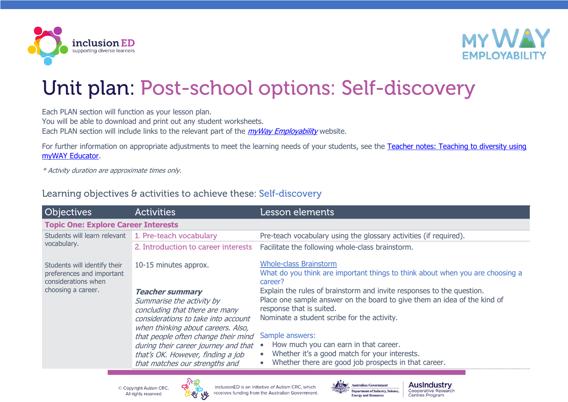



## Unit plan: Post-school options: Self-discovery

Each PLAN section will function as your lesson plan.

You will be able to download and print out any student worksheets.

Each PLAN section will include links to the relevant part of the *[myWay Employability](https://www.mywayemployability.com.au/)* website.

For further information on appropriate adjustments to meet the learning needs of your students, see the Teacher notes: Teaching to diversity using [myWAY Educator.](https://cdn.inclusioned.edu.au/cdn/ff/EUJ3V6wXkX2rVAcgRHfpY1e00PDhBWbLJ5a_hBv7URI/1641635187/public/media/MWE-1_Self-Discovery_Teacher-notes.pdf)

\* Activity duration are approximate times only.

## Learning objectives & activities to achieve these: Self-discovery

| <b>Objectives</b>                                                                                      | <b>Activities</b>                                                         | Lesson elements                                                                                      |
|--------------------------------------------------------------------------------------------------------|---------------------------------------------------------------------------|------------------------------------------------------------------------------------------------------|
| <b>Topic One: Explore Career Interests</b>                                                             |                                                                           |                                                                                                      |
| Students will learn relevant 1. Pre-teach vocabulary<br>vocabulary.                                    |                                                                           | Pre-teach vocabulary using the glossary activities (if required).                                    |
|                                                                                                        | 2. Introduction to career interests                                       | Facilitate the following whole-class brainstorm.                                                     |
| Students will identify their<br>preferences and important<br>considerations when<br>choosing a career. | 10-15 minutes approx.                                                     | <b>Whole-class Brainstorm</b>                                                                        |
|                                                                                                        |                                                                           | What do you think are important things to think about when you are choosing a<br>career?             |
|                                                                                                        | <b>Teacher summary</b>                                                    | Explain the rules of brainstorm and invite responses to the question.                                |
|                                                                                                        | Summarise the activity by<br>concluding that there are many               | Place one sample answer on the board to give them an idea of the kind of<br>response that is suited. |
|                                                                                                        | considerations to take into account                                       | Nominate a student scribe for the activity.                                                          |
|                                                                                                        | when thinking about careers. Also,<br>that people often change their mind | Sample answers:                                                                                      |
|                                                                                                        | during their career journey and that                                      | How much you can earn in that career.                                                                |
|                                                                                                        | that's OK. However, finding a job                                         | Whether it's a good match for your interests.<br>$\bullet$                                           |
|                                                                                                        | that matches our strengths and                                            | Whether there are good job prospects in that career.<br>$\bullet$                                    |

© Copyright Autism CRC All rights reserved



inclusionED is an initiative of Autism CRC, which receives funding from the Australian Government.



**AusIndustry** Cooperative Research **Centres Program**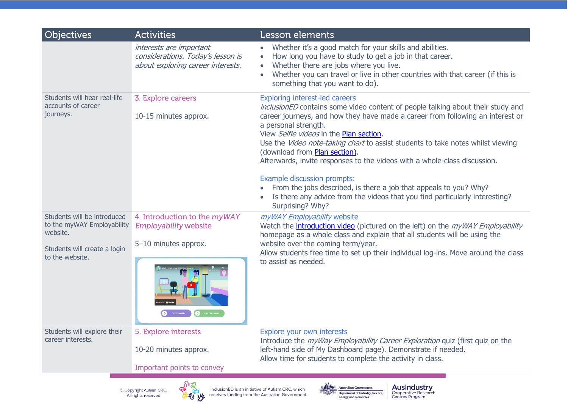| <b>Objectives</b>                                                     | <b>Activities</b>                                                                                 | Lesson elements                                                                                                                                                                                                                                                                                                                                                                                                                                                                |
|-----------------------------------------------------------------------|---------------------------------------------------------------------------------------------------|--------------------------------------------------------------------------------------------------------------------------------------------------------------------------------------------------------------------------------------------------------------------------------------------------------------------------------------------------------------------------------------------------------------------------------------------------------------------------------|
|                                                                       | interests are important<br>considerations. Today's lesson is<br>about exploring career interests. | Whether it's a good match for your skills and abilities.<br>How long you have to study to get a job in that career.<br>Whether there are jobs where you live.<br>Whether you can travel or live in other countries with that career (if this is                                                                                                                                                                                                                                |
|                                                                       |                                                                                                   | something that you want to do).                                                                                                                                                                                                                                                                                                                                                                                                                                                |
| Students will hear real-life<br>accounts of career<br>journeys.       | 3. Explore careers<br>10-15 minutes approx.                                                       | <b>Exploring interest-led careers</b><br>inclusionED contains some video content of people talking about their study and<br>career journeys, and how they have made a career from following an interest or<br>a personal strength.<br>View Selfie videos in the Plan section.<br>Use the Video note-taking chart to assist students to take notes whilst viewing<br>(download from Plan section).<br>Afterwards, invite responses to the videos with a whole-class discussion. |
|                                                                       |                                                                                                   | <b>Example discussion prompts:</b><br>From the jobs described, is there a job that appeals to you? Why?<br>Is there any advice from the videos that you find particularly interesting?<br>Surprising? Why?                                                                                                                                                                                                                                                                     |
| Students will be introduced<br>to the myWAY Employability<br>website. | 4. Introduction to the myWAY<br><b>Employability website</b>                                      | myWAY Employability website<br>Watch the <i>introduction video</i> (pictured on the left) on the <i>myWAY Employability</i><br>homepage as a whole class and explain that all students will be using the                                                                                                                                                                                                                                                                       |
| Students will create a login<br>to the website.                       | 5-10 minutes approx.                                                                              | website over the coming term/year.<br>Allow students free time to set up their individual log-ins. Move around the class<br>to assist as needed.                                                                                                                                                                                                                                                                                                                               |
| Students will explore their<br>career interests.                      | 5. Explore interests<br>10-20 minutes approx.                                                     | Explore your own interests<br>Introduce the <i>myWay Employability Career Exploration</i> quiz (first quiz on the<br>left-hand side of My Dashboard page). Demonstrate if needed.<br>Allow time for students to complete the activity in class.                                                                                                                                                                                                                                |
|                                                                       | Important points to convey                                                                        |                                                                                                                                                                                                                                                                                                                                                                                                                                                                                |
|                                                                       | © Copyright Autism CRC.<br>All rights reserved<br><b>ANTING</b>                                   | <b>AusIndustry</b><br><b>Australian Government</b><br>inclusionED is an initiative of Autism CRC, which<br>Cooperative Research<br><b>Department of Industry, Science,</b><br>receives funding from the Australian Government.<br><b>Centres Program</b><br><b>Energy and Resources</b>                                                                                                                                                                                        |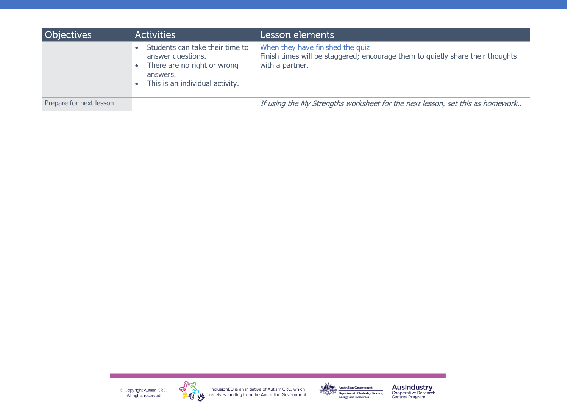| <b>Objectives</b>       | <b>Activities</b>                                                                                                                  | Lesson elements                                                                                                                       |
|-------------------------|------------------------------------------------------------------------------------------------------------------------------------|---------------------------------------------------------------------------------------------------------------------------------------|
|                         | Students can take their time to<br>answer questions.<br>There are no right or wrong<br>answers.<br>This is an individual activity. | When they have finished the quiz<br>Finish times will be staggered; encourage them to quietly share their thoughts<br>with a partner. |
| Prepare for next lesson |                                                                                                                                    | If using the My Strengths worksheet for the next lesson, set this as homework                                                         |

C Copyright Autism CRC.<br>All rights reserved



inclusion ED is an initiative of Autism CRC, which<br> **W** receives funding from the Australian Government.



**AusIndustry**<br>Cooperative Research<br>Centres Program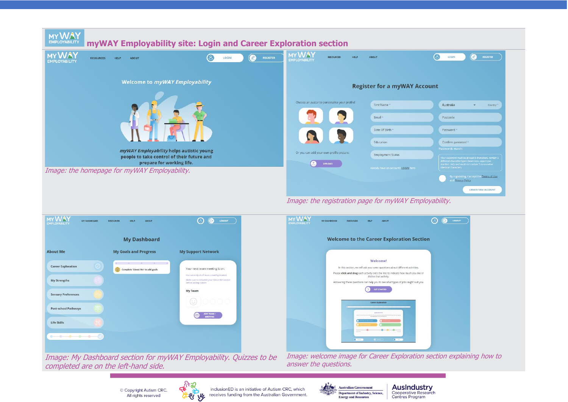

Image: the registration page for myWAY Employability.



Image: My Dashboard section for myWAY Employability. Quizzes to be completed are on the left-hand side.

Image: welcome image for Career Exploration section explaining how to answer the questions.

© Copyright Autism CRC. All rights reserved



inclusionED is an initiative of Autism CRC, which receives funding from the Australian Government.



**AusIndustry** Cooperative Research Centres Program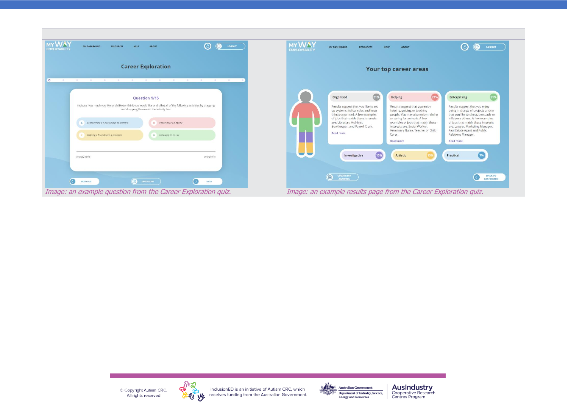| <b>MYWAY</b>                                                                                                                                                                                                                                                                                                                 |                                                                                                                                                                                                                                                                                                                                                                                                                                                                                                                                                                                                                                                                                                                                                                                                                                                                                           |
|------------------------------------------------------------------------------------------------------------------------------------------------------------------------------------------------------------------------------------------------------------------------------------------------------------------------------|-------------------------------------------------------------------------------------------------------------------------------------------------------------------------------------------------------------------------------------------------------------------------------------------------------------------------------------------------------------------------------------------------------------------------------------------------------------------------------------------------------------------------------------------------------------------------------------------------------------------------------------------------------------------------------------------------------------------------------------------------------------------------------------------------------------------------------------------------------------------------------------------|
| ◉<br>$\bigcirc$<br>LOGOUT<br>MY DASHBOARD<br><b>ABOUT</b><br><b>RESOURCES</b><br>HELP<br><b>EMPLOYABILITY</b>                                                                                                                                                                                                                | <b>MYWAY</b><br>(පි<br>r,<br>LOGOUT<br><b>MY DASHBOARD</b><br><b>ABOUT</b><br><b>RESOURCES</b><br><b>HELP</b><br><b>EMPLOYABILITY</b>                                                                                                                                                                                                                                                                                                                                                                                                                                                                                                                                                                                                                                                                                                                                                     |
| <b>Career Exploration</b><br>$\circ$                                                                                                                                                                                                                                                                                         | Your top career areas                                                                                                                                                                                                                                                                                                                                                                                                                                                                                                                                                                                                                                                                                                                                                                                                                                                                     |
| Question 1/15<br>Indicate how much you like or dislike (or think you would like or dislike) all of the following activities by dragging<br>and dropping them onto the activity line:<br>A Researching a new subject of interest<br>B Packing for a holiday<br>Helping a friend with a problem<br><b>D</b> Listening to music | (21%)<br>Helping<br>Organised<br>21%<br><b>Enterprising</b><br>21%<br>Results suggest that you like to set<br>Results suggest that you enjoy<br>Results suggest that you enjoy<br>up systems, follow rules and keep<br>being in charge of projects and/or<br>helping, guiding or teaching<br>things organised. A few examples<br>that you like to direct, persuade or<br>people. You may also enjoy training<br>of jobs that match these interests<br>or caring for animals. A few<br>influence others. A few examples<br>examples of jobs that match these<br>are: Librarian, Archivist,<br>of jobs that match these interests<br>interests are: Social Worker,<br>Bookkeeper, and Payroll Clerk.<br>are: Lawyer, Marketing Manager,<br>Veterinary Nurse, Teacher or Child<br>Real Estate Agent and Public<br><b>Read more</b><br>Carer.<br>Relations Manager.<br>Read more<br>Read more |
| Strongly dislike<br>Strongly like<br>€<br><b>B</b> SAVE & EXIT<br><b>PREVIOUS</b><br><b>NEXT</b>                                                                                                                                                                                                                             | 7%<br>15%<br>Artistic<br>Practical<br>Investigative<br><b>JPDATE MY</b><br><b>BACK TO</b><br>個<br><b>ANSWERS</b><br><b>DASHBOARD</b>                                                                                                                                                                                                                                                                                                                                                                                                                                                                                                                                                                                                                                                                                                                                                      |
| Image: an example question from the Career Exploration quiz.                                                                                                                                                                                                                                                                 | Image: an example results page from the Career Exploration quiz.                                                                                                                                                                                                                                                                                                                                                                                                                                                                                                                                                                                                                                                                                                                                                                                                                          |

C Copyright Autism CRC.<br>All rights reserved

 $\overline{\phantom{a}}$ 



and the same inclusion ED is an initiative of Autism CRC, which<br>The preceives funding from the Australian Government.



**AusIndustry**<br>Cooperative Research<br>Centres Program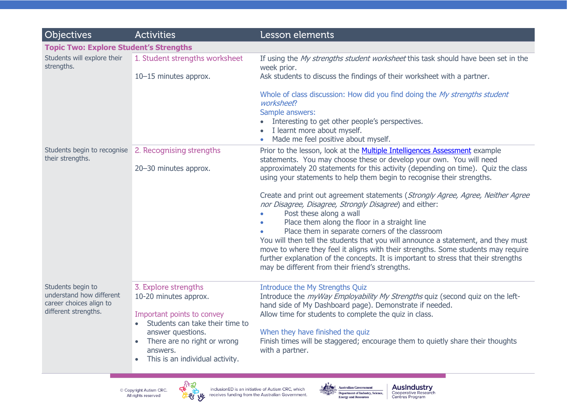| <b>Objectives</b>                                                                                | <b>Activities</b>                                                                                                                                                                                                 | Lesson elements                                                                                                                                                                                                                                                                                                                                                                                                                                                                                                                                                                              |  |
|--------------------------------------------------------------------------------------------------|-------------------------------------------------------------------------------------------------------------------------------------------------------------------------------------------------------------------|----------------------------------------------------------------------------------------------------------------------------------------------------------------------------------------------------------------------------------------------------------------------------------------------------------------------------------------------------------------------------------------------------------------------------------------------------------------------------------------------------------------------------------------------------------------------------------------------|--|
| <b>Topic Two: Explore Student's Strengths</b>                                                    |                                                                                                                                                                                                                   |                                                                                                                                                                                                                                                                                                                                                                                                                                                                                                                                                                                              |  |
| Students will explore their<br>strengths.                                                        | 1. Student strengths worksheet<br>10-15 minutes approx.                                                                                                                                                           | If using the My strengths student worksheet this task should have been set in the<br>week prior.<br>Ask students to discuss the findings of their worksheet with a partner.                                                                                                                                                                                                                                                                                                                                                                                                                  |  |
|                                                                                                  |                                                                                                                                                                                                                   | Whole of class discussion: How did you find doing the My strengths student<br>worksheet?<br>Sample answers:<br>Interesting to get other people's perspectives.<br>I learnt more about myself.<br>Made me feel positive about myself.                                                                                                                                                                                                                                                                                                                                                         |  |
| Students begin to recognise<br>their strengths.                                                  | 2. Recognising strengths<br>20-30 minutes approx.                                                                                                                                                                 | Prior to the lesson, look at the Multiple Intelligences Assessment example<br>statements. You may choose these or develop your own. You will need<br>approximately 20 statements for this activity (depending on time). Quiz the class<br>using your statements to help them begin to recognise their strengths.                                                                                                                                                                                                                                                                             |  |
|                                                                                                  |                                                                                                                                                                                                                   | Create and print out agreement statements (Strongly Agree, Agree, Neither Agree<br>nor Disagree, Disagree, Strongly Disagree) and either:<br>Post these along a wall<br>Place them along the floor in a straight line<br>Place them in separate corners of the classroom<br>You will then tell the students that you will announce a statement, and they must<br>move to where they feel it aligns with their strengths. Some students may require<br>further explanation of the concepts. It is important to stress that their strengths<br>may be different from their friend's strengths. |  |
| Students begin to<br>understand how different<br>career choices align to<br>different strengths. | 3. Explore strengths<br>10-20 minutes approx.<br>Important points to convey<br>Students can take their time to<br>answer questions.<br>There are no right or wrong<br>answers.<br>This is an individual activity. | Introduce the My Strengths Quiz<br>Introduce the <i>myWay Employability My Strengths</i> quiz (second quiz on the left-<br>hand side of My Dashboard page). Demonstrate if needed.<br>Allow time for students to complete the quiz in class.<br>When they have finished the quiz<br>Finish times will be staggered; encourage them to quietly share their thoughts<br>with a partner.                                                                                                                                                                                                        |  |
|                                                                                                  | © Copyright Autism CRC.<br>All rights reserved<br>₩                                                                                                                                                               | <b>AusIndustry</b><br><b>Australian Government</b><br>inclusionED is an initiative of Autism CRC, which<br>Cooperative Research<br><b>Department of Industry, Science,</b><br>receives funding from the Australian Government.<br>Centres Program<br><b>Energy and Resources</b>                                                                                                                                                                                                                                                                                                             |  |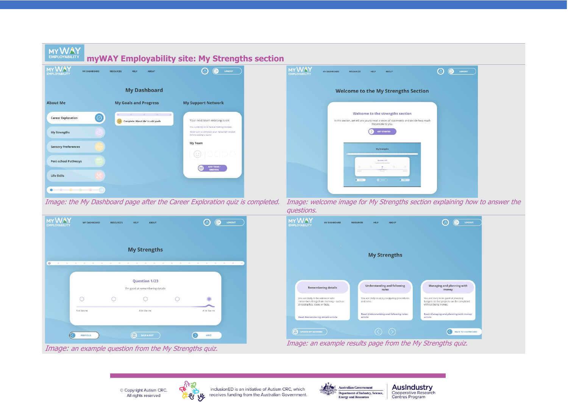| <b>MY</b><br><b>EMPLOYABILITY</b>                         |                                                        | myWAY Employability site: My Strengths section                                                                       |                                                                                                                                                                                                                                                                                             |
|-----------------------------------------------------------|--------------------------------------------------------|----------------------------------------------------------------------------------------------------------------------|---------------------------------------------------------------------------------------------------------------------------------------------------------------------------------------------------------------------------------------------------------------------------------------------|
| MY WAY<br>MY DASHBOARD<br><b>EMPLOYABILITY</b>            | <b>RESOURCES</b><br><b>ABOUT</b><br>HELP               | $\circledS$<br>◉<br>LOGOUT                                                                                           | <b>MY WAY</b><br>$\circledcirc$<br>$\odot$<br>LOGOUT<br>MY DASHROARD<br>RESOURCES<br>HELP<br><b>AROUT</b>                                                                                                                                                                                   |
|                                                           | <b>My Dashboard</b>                                    |                                                                                                                      | <b>Welcome to the My Strengths Section</b>                                                                                                                                                                                                                                                  |
| <b>About Me</b>                                           | <b>My Goals and Progress</b>                           | <b>My Support Network</b>                                                                                            |                                                                                                                                                                                                                                                                                             |
| $\odot$<br><b>Career Exploration</b>                      | Complete 'About Me' to add goals                       | Your next team meeting is on:                                                                                        | Welcome to the strengths section<br>In this section, we will ask you to read a series of statements and decide how much<br>they relate to you.                                                                                                                                              |
| <b>My Strengths</b>                                       |                                                        | You currently don't have a meeting booked.<br>Make sure to complete your 'About Me' section<br>before adding a team. | <b>GET STARTED</b>                                                                                                                                                                                                                                                                          |
| <b>Sensory Preferences</b><br><b>Post-school Pathways</b> |                                                        | My Team                                                                                                              | My Strengths<br>Question 1/23                                                                                                                                                                                                                                                               |
| Life Skills                                               |                                                        | ADD TEAM /<br>MEETING                                                                                                | $\mathbf{r}$                                                                                                                                                                                                                                                                                |
| $\bullet$                                                 |                                                        |                                                                                                                      | $0.5 - 1$<br>$0 -$                                                                                                                                                                                                                                                                          |
|                                                           |                                                        | Image: the My Dashboard page after the Career Exploration quiz is completed.                                         | Image: welcome image for My Strengths section explaining how to answer the<br>questions.                                                                                                                                                                                                    |
| my WAY<br>MY DASHBOARD<br><b>EMPLOYABILITY</b>            | <b>RESOURCES</b><br><b>HELP</b><br><b>ABOUT</b>        | $\circleds$<br>$\odot$<br>LOGOUT                                                                                     | <b>MY WAY</b><br>$\left( \circ \right)$<br>B<br>LOGOUT<br>MY DASHBOARD<br><b>RESOURCES</b><br>HELP<br><b>ABOUT</b><br>MPLOYABILITY                                                                                                                                                          |
| $\circ$                                                   | <b>My Strengths</b>                                    |                                                                                                                      | <b>My Strengths</b>                                                                                                                                                                                                                                                                         |
|                                                           | Question 1/23<br>I'm good at remembering details       |                                                                                                                      | <b>Understanding and following</b><br>Managing and planning with<br><b>Remembering details</b><br>rules<br>money                                                                                                                                                                            |
| $\circ$                                                   | $\circ$<br>$\circ$<br>$\circ$                          | $\bigcirc$                                                                                                           | You are likely to be someone who<br>You are likely to enjoy navigating procedures<br>You are likely to be good at planning<br>remembers things from memory - such as<br>and rules.<br>budgets so that projects can be completed<br>shopping lists, dates or facts.<br>without losing money. |
| Not like me                                               | A bit like me                                          | A lot like me                                                                                                        | <b>Read Understanding and following rules</b><br><b>Read Managing and planning with money</b><br><b>Read Remembering details article</b><br>article<br>article                                                                                                                              |
| <b>PREVIOUS</b>                                           | <b>SAVE &amp; EXIT</b>                                 | $\circ$<br>NEXT                                                                                                      | $\circledcirc$<br><b>D</b> UPDATE MY ANSWERS<br>BACK TO DASHBOARD                                                                                                                                                                                                                           |
|                                                           | Image: an example question from the My Strengths quiz. |                                                                                                                      | Image: an example results page from the My Strengths quiz.                                                                                                                                                                                                                                  |

C Copyright Autism CRC.<br>All rights reserved



and the same inclusion ED is an initiative of Autism CRC, which<br>The preceives funding from the Australian Government.



**AusIndustry**<br>Cooperative Research<br>Centres Program

ī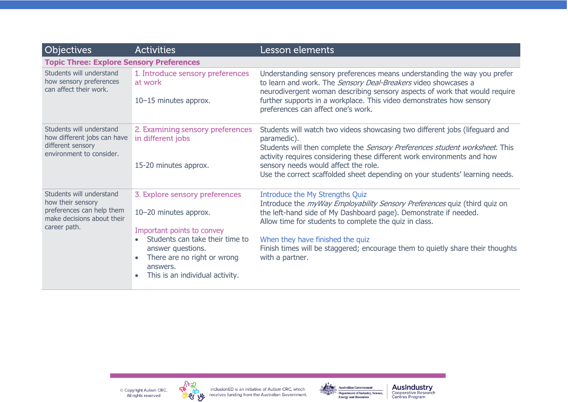| <b>Objectives</b>                                                                                                        | <b>Activities</b>                                                                                                                                                                                                           | Lesson elements                                                                                                                                                                                                                                                                                                                                                                            |  |
|--------------------------------------------------------------------------------------------------------------------------|-----------------------------------------------------------------------------------------------------------------------------------------------------------------------------------------------------------------------------|--------------------------------------------------------------------------------------------------------------------------------------------------------------------------------------------------------------------------------------------------------------------------------------------------------------------------------------------------------------------------------------------|--|
| <b>Topic Three: Explore Sensory Preferences</b>                                                                          |                                                                                                                                                                                                                             |                                                                                                                                                                                                                                                                                                                                                                                            |  |
| Students will understand<br>how sensory preferences<br>can affect their work.                                            | 1. Introduce sensory preferences<br>at work<br>10-15 minutes approx.                                                                                                                                                        | Understanding sensory preferences means understanding the way you prefer<br>to learn and work. The Sensory Deal-Breakers video showcases a<br>neurodivergent woman describing sensory aspects of work that would require<br>further supports in a workplace. This video demonstrates how sensory<br>preferences can affect one's work.                                                     |  |
| Students will understand<br>how different jobs can have<br>different sensory<br>environment to consider.                 | 2. Examining sensory preferences<br>in different jobs<br>15-20 minutes approx.                                                                                                                                              | Students will watch two videos showcasing two different jobs (lifeguard and<br>paramedic).<br>Students will then complete the Sensory Preferences student worksheet. This<br>activity requires considering these different work environments and how<br>sensory needs would affect the role.<br>Use the correct scaffolded sheet depending on your students' learning needs.               |  |
| Students will understand<br>how their sensory<br>preferences can help them<br>make decisions about their<br>career path. | 3. Explore sensory preferences<br>10-20 minutes approx.<br>Important points to convey<br>Students can take their time to<br>answer questions.<br>There are no right or wrong<br>answers.<br>This is an individual activity. | Introduce the My Strengths Quiz<br>Introduce the <i>myWay Employability Sensory Preferences</i> quiz (third quiz on<br>the left-hand side of My Dashboard page). Demonstrate if needed.<br>Allow time for students to complete the quiz in class.<br>When they have finished the quiz<br>Finish times will be staggered; encourage them to quietly share their thoughts<br>with a partner. |  |





inclusion ED is an initiative of Autism CRC, which<br> **W** receives funding from the Australian Government.



**AusIndustry**<br>Cooperative Research<br>Centres Program